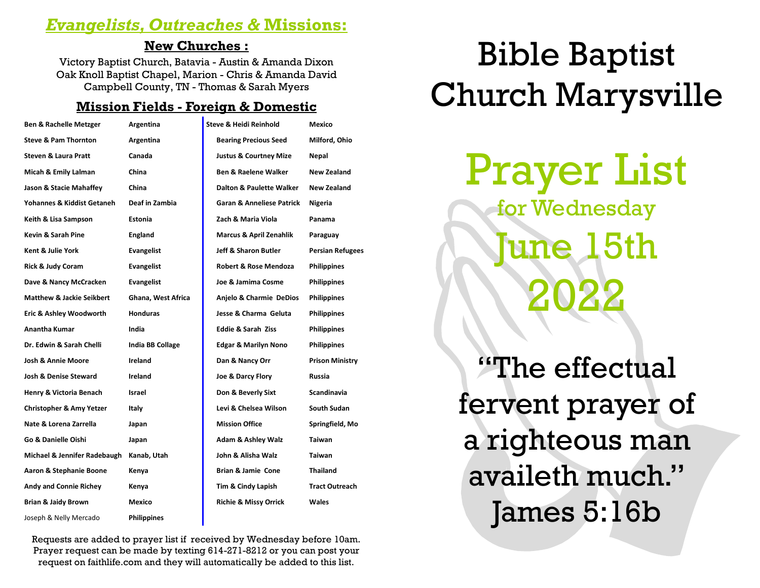# *Evangelists, Outreaches &* **Missions:**

#### **New Churches :**

Victory Baptist Church, Batavia - Austin & Amanda Dixon Oak Knoll Baptist Chapel, Marion - Chris & Amanda David Campbell County, TN - Thomas & Sarah Myers

## **Mission Fields - Foreign & Domestic**

| <b>Ben &amp; Rachelle Metzger</b>    | Argentina          | <b>Steve &amp; Heidi Reinhold</b>    | Mexico                  |
|--------------------------------------|--------------------|--------------------------------------|-------------------------|
| <b>Steve &amp; Pam Thornton</b>      | Argentina          | <b>Bearing Precious Seed</b>         | Milford, Ohio           |
| <b>Steven &amp; Laura Pratt</b>      | Canada             | <b>Justus &amp; Courtney Mize</b>    | Nepal                   |
| Micah & Emily Lalman                 | China              | <b>Ben &amp; Raelene Walker</b>      | <b>New Zealand</b>      |
| Jason & Stacie Mahaffey              | China              | <b>Dalton &amp; Paulette Walker</b>  | New Zealand             |
| Yohannes & Kiddist Getaneh           | Deaf in Zambia     | <b>Garan &amp; Anneliese Patrick</b> | Nigeria                 |
| Keith & Lisa Sampson                 | <b>Estonia</b>     | Zach & Maria Viola                   | Panama                  |
| Kevin & Sarah Pine                   | <b>England</b>     | Marcus & April Zenahlik              | Paraguay                |
| Kent & Julie York                    | <b>Evangelist</b>  | <b>Jeff &amp; Sharon Butler</b>      | <b>Persian Refugees</b> |
| <b>Rick &amp; Judy Coram</b>         | <b>Evangelist</b>  | Robert & Rose Mendoza                | <b>Philippines</b>      |
| Dave & Nancy McCracken               | <b>Evangelist</b>  | Joe & Jamima Cosme                   | <b>Philippines</b>      |
| <b>Matthew &amp; Jackie Seikbert</b> | Ghana, West Africa | Anjelo & Charmie DeDios              | <b>Philippines</b>      |
| Eric & Ashley Woodworth              | <b>Honduras</b>    | Jesse & Charma Geluta                | <b>Philippines</b>      |
| Anantha Kumar                        | India              | <b>Eddie &amp; Sarah Ziss</b>        | <b>Philippines</b>      |
| Dr. Edwin & Sarah Chelli             | India BB Collage   | <b>Edgar &amp; Marilyn Nono</b>      | <b>Philippines</b>      |
| <b>Josh &amp; Annie Moore</b>        | Ireland            | Dan & Nancy Orr                      | <b>Prison Ministry</b>  |
| <b>Josh &amp; Denise Steward</b>     | Ireland            | Joe & Darcy Flory                    | Russia                  |
| Henry & Victoria Benach              | Israel             | Don & Beverly Sixt                   | Scandinavia             |
| <b>Christopher &amp; Amy Yetzer</b>  | Italy              | Levi & Chelsea Wilson                | <b>South Sudan</b>      |
| Nate & Lorena Zarrella               | Japan              | <b>Mission Office</b>                | Springfield, Mo         |
| Go & Danielle Oishi                  | Japan              | <b>Adam &amp; Ashley Walz</b>        | Taiwan                  |
| Michael & Jennifer Radebaugh         | Kanab, Utah        | John & Alisha Walz                   | <b>Taiwan</b>           |
| Aaron & Stephanie Boone              | Kenya              | <b>Brian &amp; Jamie Cone</b>        | <b>Thailand</b>         |
| Andy and Connie Richey               | Kenya              | Tim & Cindy Lapish                   | <b>Tract Outreach</b>   |
| <b>Brian &amp; Jaidy Brown</b>       | Mexico             | <b>Richie &amp; Missy Orrick</b>     | <b>Wales</b>            |
| Joseph & Nelly Mercado               | <b>Philippines</b> |                                      |                         |

Bible Baptist Church Marysville

> Prayer List for Wednesday

June 15th 2022

"The effectual fervent prayer of a righteous man availeth much." James 5:16b

Requests are added to prayer list if received by Wednesday before 10am. Prayer request can be made by texting 614-271-8212 or you can post your request on faithlife.com and they will automatically be added to this list.